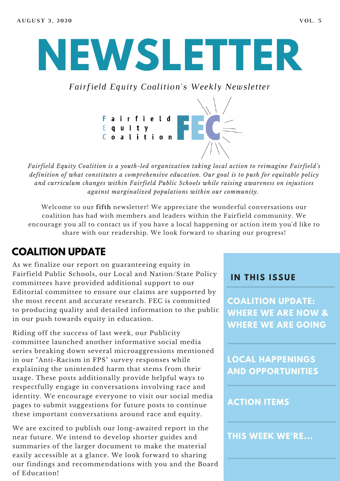# **NEWSLETTER**

*Fairfield Equity Coalition's Weekly Newsletter*



*Fairfield Equity Coalition is a youth-led organization taking local action to reimagine Fairfield's definition of what constitutes a comprehensive education. Our goal is to push for equitable policy and curriculum changes within Fairfield Public Schools while raising awareness on injustices against marginalized populations within our community.*

Welcome to our **fifth** newsletter! We appreciate the wonderful conversations our coalition has had with members and leaders within the Fairfield community. We encourage you all to contact us if you have a local happening or action item you'd like to share with our readership. We look forward to sharing our progress!

## **COALITION UPDATE**

As we finalize our report on guaranteeing equity in Fairfield Public Schools, our Local and Nation/State Policy committees have provided additional support to our Editorial committee to ensure our claims are supported by the most recent and accurate research. FEC is committed to producing quality and detailed information to the public in our push towards equity in education.

Riding off the success of last week, our Publicity committee launched another informative social media series breaking down several microaggressions mentioned in our "Anti-Racism in FPS" survey responses while explaining the unintended harm that stems from their usage. These posts additionally provide helpful ways to respectfully engage in conversations involving race and identity. We encourage everyone to visit our social media pages to submit suggestions for future posts to continue these important conversations around race and equity.

We are excited to publish our long-awaited report in the near future. We intend to develop shorter guides and summaries of the larger document to make the material easily accessible at a glance. We look forward to sharing our findings and recommendations with you and the Board of Education!

#### **I N THIS ISSUE**

**COALITION UPDATE: WHERE WE ARE NOW & WHERE WE ARE GOING**

**LOCAL HAPPENINGS AND OPPORTUNITIES**

#### **ACTION ITEMS**

**THIS WEEK WE'RE...**